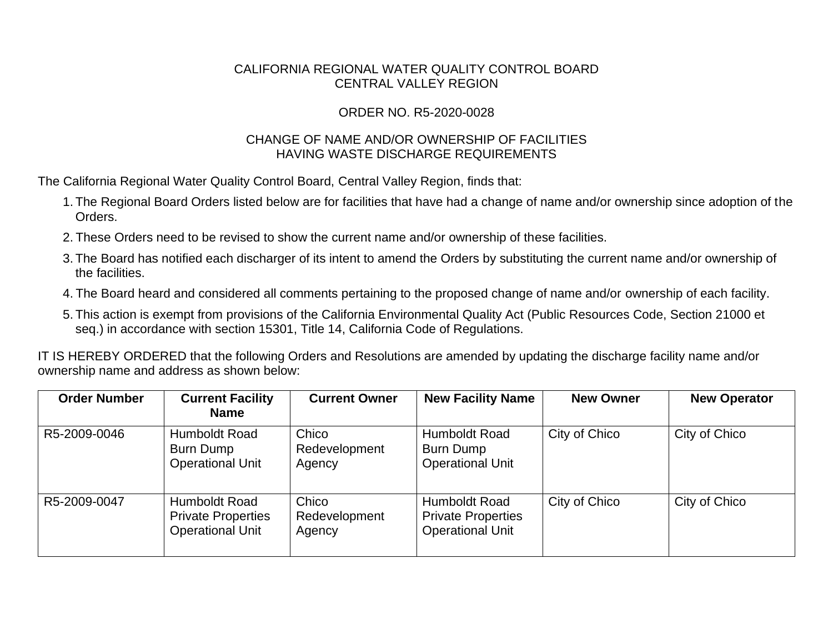## CALIFORNIA REGIONAL WATER QUALITY CONTROL BOARD CENTRAL VALLEY REGION

## ORDER NO. R5-2020-0028

## CHANGE OF NAME AND/OR OWNERSHIP OF FACILITIES HAVING WASTE DISCHARGE REQUIREMENTS

The California Regional Water Quality Control Board, Central Valley Region, finds that:

- 1. The Regional Board Orders listed below are for facilities that have had a change of name and/or ownership since adoption of the Orders.
- 2. These Orders need to be revised to show the current name and/or ownership of these facilities.
- 3. The Board has notified each discharger of its intent to amend the Orders by substituting the current name and/or ownership of the facilities.
- 4. The Board heard and considered all comments pertaining to the proposed change of name and/or ownership of each facility.
- 5. This action is exempt from provisions of the California Environmental Quality Act (Public Resources Code, Section 21000 et seq.) in accordance with section 15301, Title 14, California Code of Regulations.

IT IS HEREBY ORDERED that the following Orders and Resolutions are amended by updating the discharge facility name and/or ownership name and address as shown below:

| <b>Order Number</b> | <b>Current Facility</b><br><b>Name</b>                                | <b>Current Owner</b>             | <b>New Facility Name</b>                                              | <b>New Owner</b> | <b>New Operator</b> |
|---------------------|-----------------------------------------------------------------------|----------------------------------|-----------------------------------------------------------------------|------------------|---------------------|
| R5-2009-0046        | <b>Humboldt Road</b><br>Burn Dump<br><b>Operational Unit</b>          | Chico<br>Redevelopment<br>Agency | Humboldt Road<br><b>Burn Dump</b><br><b>Operational Unit</b>          | City of Chico    | City of Chico       |
| R5-2009-0047        | Humboldt Road<br><b>Private Properties</b><br><b>Operational Unit</b> | Chico<br>Redevelopment<br>Agency | Humboldt Road<br><b>Private Properties</b><br><b>Operational Unit</b> | City of Chico    | City of Chico       |